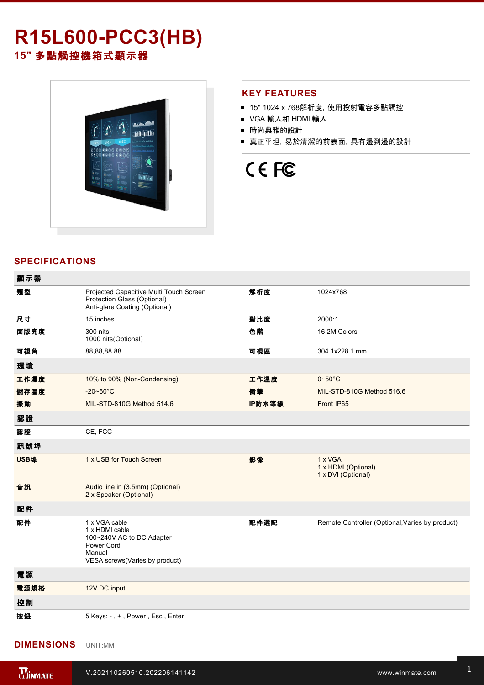# **R15L600-PCC3(HB) 15"** 多點觸控機箱式顯示器



### **KEY FEATURES**

- 15" 1024 x 768解析度, 使用投射電容多點觸控
- VGA 輸入和 HDMI 輸入
- 時尚典雅的設計
- 真正平坦,易於清潔的前表面,具有邊到邊的設計

CE FC

## **SPECIFICATIONS**

| 顯示器         |                                                                                                                        |        |                                                      |
|-------------|------------------------------------------------------------------------------------------------------------------------|--------|------------------------------------------------------|
| 類型          | Projected Capacitive Multi Touch Screen<br>Protection Glass (Optional)<br>Anti-glare Coating (Optional)                | 解析度    | 1024x768                                             |
| 尺寸          | 15 inches                                                                                                              | 對比度    | 2000:1                                               |
| 面版亮度        | 300 nits<br>1000 nits (Optional)                                                                                       | 色階     | 16.2M Colors                                         |
| 可視角         | 88,88,88,88                                                                                                            | 可視區    | 304.1x228.1 mm                                       |
| 環境          |                                                                                                                        |        |                                                      |
| 工作濕度        | 10% to 90% (Non-Condensing)                                                                                            | 工作溫度   | $0 - 50^{\circ}$ C                                   |
| 儲存溫度        | $-20 - 60^{\circ}C$                                                                                                    | 衝擊     | MIL-STD-810G Method 516.6                            |
| 振動          | MIL-STD-810G Method 514.6                                                                                              | IP防水等級 | Front IP65                                           |
| 認證          |                                                                                                                        |        |                                                      |
| 認證          | CE, FCC                                                                                                                |        |                                                      |
| 訊號埠         |                                                                                                                        |        |                                                      |
| <b>USB埠</b> | 1 x USB for Touch Screen                                                                                               | 影像     | 1 x VGA<br>1 x HDMI (Optional)<br>1 x DVI (Optional) |
| 音訊          | Audio line in (3.5mm) (Optional)<br>2 x Speaker (Optional)                                                             |        |                                                      |
| 配件          |                                                                                                                        |        |                                                      |
| 配件          | 1 x VGA cable<br>1 x HDMI cable<br>100~240V AC to DC Adapter<br>Power Cord<br>Manual<br>VESA screws(Varies by product) | 配件選配   | Remote Controller (Optional, Varies by product)      |
| 電源          |                                                                                                                        |        |                                                      |
| 電源規格        | 12V DC input                                                                                                           |        |                                                      |
| 控制          |                                                                                                                        |        |                                                      |
| 按鈕          | 5 Keys: -, +, Power, Esc, Enter                                                                                        |        |                                                      |

### **DIMENSIONS**  UNIT:MM

**Winmate R15L600PCC3(HB)**